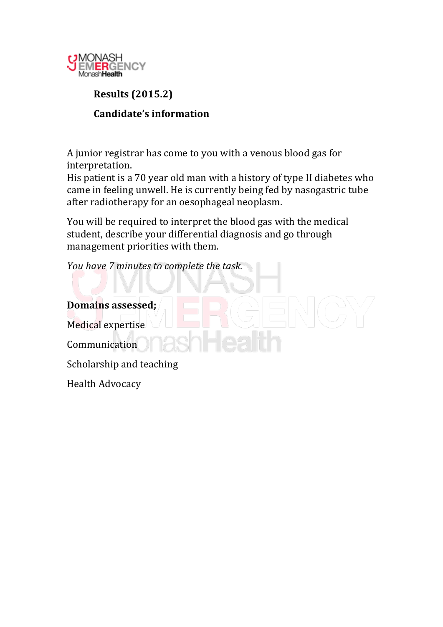

# **Results!(2015.2) Candidate's information**

A junior registrar has come to you with a venous blood gas for interpretation.

His patient is a 70 year old man with a history of type II diabetes who came in feeling unwell. He is currently being fed by nasogastric tube after radiotherapy for an oesophageal neoplasm.

You will be required to interpret the blood gas with the medical student, describe your differential diagnosis and go through management priorities with them.

*You have 7 minutes to complete the task.* 

**Domains!assessed;** Medical expertise Communication Scholarship and teaching Health Advocacy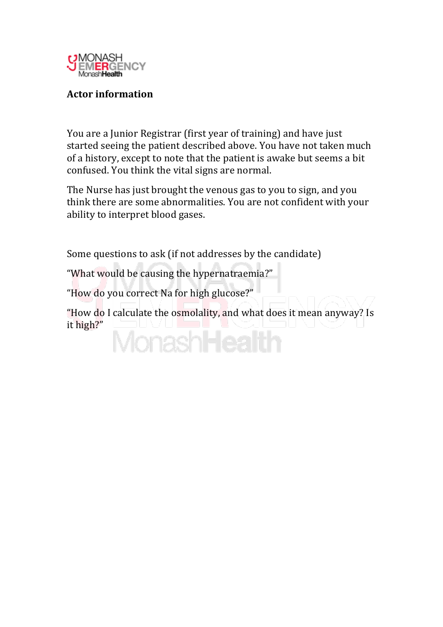

## **Actor!information**

You are a Junior Registrar (first year of training) and have just started seeing the patient described above. You have not taken much of a history, except to note that the patient is awake but seems a bit confused. You think the vital signs are normal.

The Nurse has just brought the venous gas to you to sign, and you think there are some abnormalities. You are not confident with your ability to interpret blood gases.

Some questions to ask (if not addresses by the candidate)

"What would be causing the hypernatraemia?"

"How do you correct Na for high glucose?"

"How do I calculate the osmolality, and what does it mean anyway? Is it high?" **MonashHeal**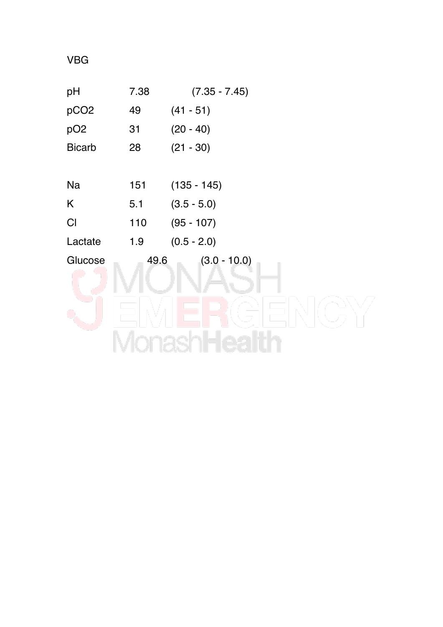VBG

| pH               | 7.38 | $(7.35 - 7.45)$ |
|------------------|------|-----------------|
| pCO <sub>2</sub> | 49   | $(41 - 51)$     |
| pO <sub>2</sub>  | 31   | $(20 - 40)$     |
| <b>Bicarb</b>    | 28   | $(21 - 30)$     |
|                  |      |                 |
| Na               | 151  | $(135 - 145)$   |
| K                | 5.1  | $(3.5 - 5.0)$   |
| CI               | 110  | $(95 - 107)$    |
| Lactate          | 1.9  | $(0.5 - 2.0)$   |
| Glucose          | 49.6 | $(3.0 - 10.0)$  |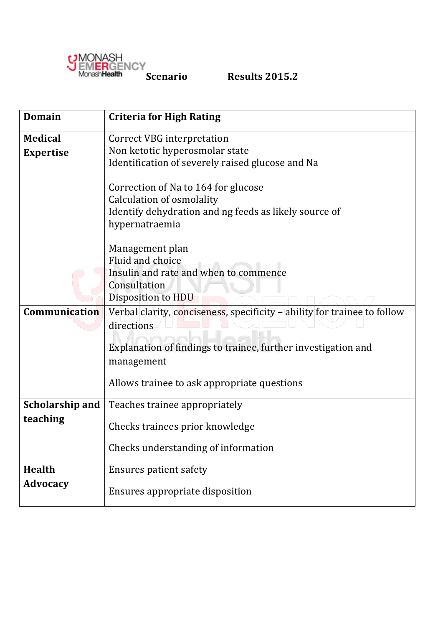

| <b>Domain</b>    | <b>Criteria for High Rating</b>                                                        |  |  |  |  |  |  |
|------------------|----------------------------------------------------------------------------------------|--|--|--|--|--|--|
| <b>Medical</b>   | <b>Correct VBG</b> interpretation                                                      |  |  |  |  |  |  |
| <b>Expertise</b> | Non ketotic hyperosmolar state                                                         |  |  |  |  |  |  |
|                  | Identification of severely raised glucose and Na                                       |  |  |  |  |  |  |
|                  | Correction of Na to 164 for glucose                                                    |  |  |  |  |  |  |
|                  | Calculation of osmolality                                                              |  |  |  |  |  |  |
|                  | Identify dehydration and ng feeds as likely source of                                  |  |  |  |  |  |  |
|                  | hypernatraemia                                                                         |  |  |  |  |  |  |
|                  |                                                                                        |  |  |  |  |  |  |
|                  | Management plan                                                                        |  |  |  |  |  |  |
|                  | Fluid and choice                                                                       |  |  |  |  |  |  |
|                  | Insulin and rate and when to commence                                                  |  |  |  |  |  |  |
|                  | Consultation                                                                           |  |  |  |  |  |  |
|                  | Disposition to HDU                                                                     |  |  |  |  |  |  |
| Communication    | Verbal clarity, conciseness, specificity - ability for trainee to follow<br>directions |  |  |  |  |  |  |
|                  | Explanation of findings to trainee, further investigation and<br>management            |  |  |  |  |  |  |
|                  | Allows trainee to ask appropriate questions                                            |  |  |  |  |  |  |
| Scholarship and  | Teaches trainee appropriately                                                          |  |  |  |  |  |  |
| teaching         | Checks trainees prior knowledge                                                        |  |  |  |  |  |  |
|                  | Checks understanding of information                                                    |  |  |  |  |  |  |
| <b>Health</b>    | <b>Ensures patient safety</b>                                                          |  |  |  |  |  |  |
| <b>Advocacy</b>  | Ensures appropriate disposition                                                        |  |  |  |  |  |  |